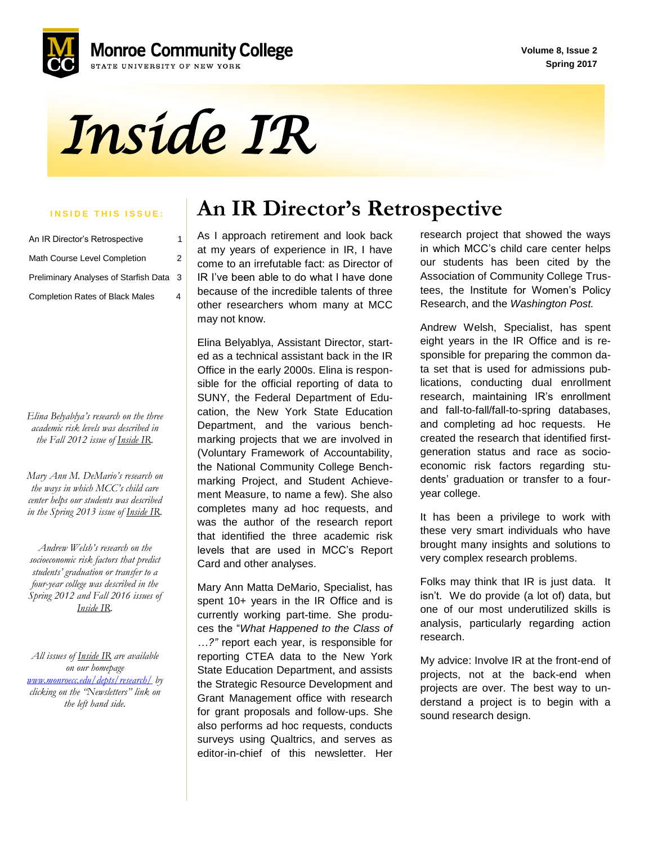**Volume 8, Issue 2 Spring 2017**



*Inside IR* 

| An IR Director's Retrospective          | 1 |
|-----------------------------------------|---|
| Math Course Level Completion            | 2 |
| Preliminary Analyses of Starfish Data 3 |   |
| <b>Completion Rates of Black Males</b>  | 4 |

*Elina Belyablya's research on the three academic risk levels was described in the Fall 2012 issue of Inside IR.*

*Mary Ann M. DeMario's research on the ways in which MCC's child care center helps our students was described in the Spring 2013 issue of Inside IR.*

 *four-year college was described in the Andrew Welsh's research on the socioeconomic risk factors that predict students' graduation or transfer to a Spring 2012 and Fall 2016 issues of Inside IR.*

*All issues of Inside IR are available on our homepage [www.monroecc.edu/depts/research/](http://www.monroecc.edu/depts/research/) by clicking on the "Newsletters" link on the left hand side.*

## **INSIDE THIS ISSUE:** An IR Director's Retrospective

 other researchers whom many at MCC As I approach retirement and look back at my years of experience in IR, I have come to an irrefutable fact: as Director of IR I've been able to do what I have done because of the incredible talents of three may not know.

Elina Belyablya, Assistant Director, started as a technical assistant back in the IR Office in the early 2000s. Elina is responsible for the official reporting of data to SUNY, the Federal Department of Education, the New York State Education Department, and the various benchmarking projects that we are involved in (Voluntary Framework of Accountability, the National Community College Benchmarking Project, and Student Achievement Measure, to name a few). She also completes many ad hoc requests, and was the author of the research report that identified the three academic risk levels that are used in MCC's Report Card and other analyses.

Mary Ann Matta DeMario, Specialist, has spent 10+ years in the IR Office and is currently working part-time. She produces the "*What Happened to the Class of …?"* report each year, is responsible for reporting CTEA data to the New York State Education Department, and assists the Strategic Resource Development and Grant Management office with research for grant proposals and follow-ups. She also performs ad hoc requests, conducts surveys using Qualtrics, and serves as editor-in-chief of this newsletter. Her

research project that showed the ways in which MCC's child care center helps our students has been cited by the Association of Community College Trustees, the Institute for Women's Policy Research, and the *Washington Post.*

Andrew Welsh, Specialist, has spent eight years in the IR Office and is responsible for preparing the common data set that is used for admissions publications, conducting dual enrollment research, maintaining IR's enrollment and fall-to-fall/fall-to-spring databases, and completing ad hoc requests. He created the research that identified firstgeneration status and race as socioeconomic risk factors regarding students' graduation or transfer to a fouryear college.

It has been a privilege to work with these very smart individuals who have brought many insights and solutions to very complex research problems.

Folks may think that IR is just data. It isn't. We do provide (a lot of) data, but one of our most underutilized skills is analysis, particularly regarding action research.

My advice: Involve IR at the front-end of projects, not at the back-end when projects are over. The best way to understand a project is to begin with a sound research design.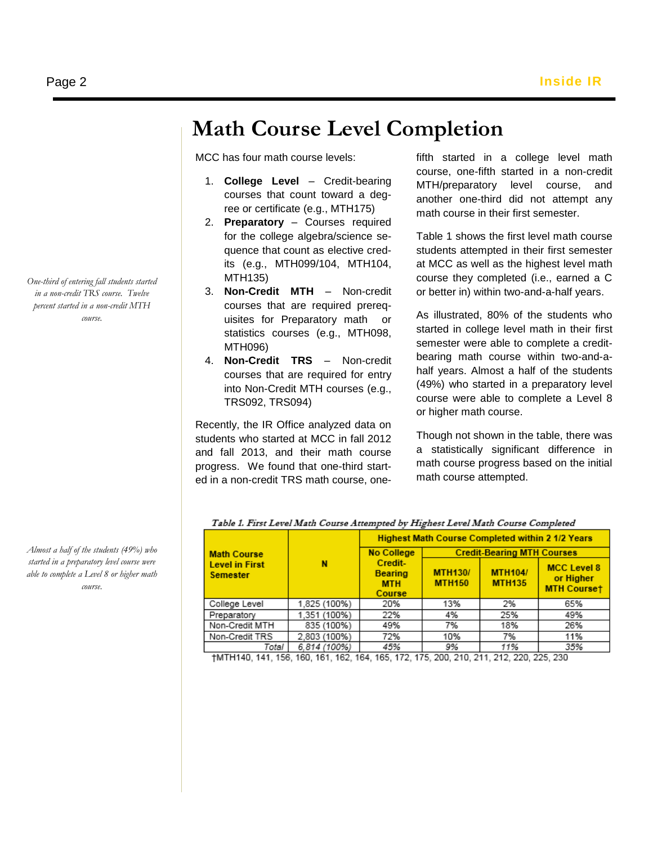## **Math Course Level Completion**

MCC has four math course levels:

- 1. **College Level** Credit-bearing courses that count toward a degree or certificate (e.g., MTH175)
- 2. **Preparatory** Courses required for the college algebra/science sequence that count as elective credits (e.g., MTH099/104, MTH104, MTH135)
- 3. **Non-Credit MTH** Non-credit courses that are required prerequisites for Preparatory math or statistics courses (e.g., MTH098, MTH096)
- into Non-Credit MTH courses (e.g., 4. **Non-Credit TRS** – Non-credit courses that are required for entry TRS092, TRS094)

Recently, the IR Office analyzed data on students who started at MCC in fall 2012 and fall 2013, and their math course progress. We found that one-third started in a non-credit TRS math course, onefifth started in a college level math course, one-fifth started in a non-credit MTH/preparatory level course, and another one-third did not attempt any math course in their first semester.

Table 1 shows the first level math course students attempted in their first semester at MCC as well as the highest level math course they completed (i.e., earned a C or better in) within two-and-a-half years.

As illustrated, 80% of the students who started in college level math in their first semester were able to complete a creditbearing math course within two-and-ahalf years. Almost a half of the students (49%) who started in a preparatory level course were able to complete a Level 8 or higher math course.

Though not shown in the table, there was a statistically significant difference in math course progress based on the initial math course attempted.

| I avie Il I IIst Level math Course Attempted by I Hghest Level math Course Completed |              |                                                         |                                   |                                 |                                                       |  |  |
|--------------------------------------------------------------------------------------|--------------|---------------------------------------------------------|-----------------------------------|---------------------------------|-------------------------------------------------------|--|--|
|                                                                                      |              | <b>Highest Math Course Completed within 2 1/2 Years</b> |                                   |                                 |                                                       |  |  |
| <b>Math Course</b>                                                                   |              | <b>No College</b>                                       | <b>Credit-Bearing MTH Courses</b> |                                 |                                                       |  |  |
| <b>Level in First</b><br><b>Semester</b>                                             | N            | Credit-<br><b>Bearing</b><br><b>MTH</b><br>Course       | <b>MTH130/</b><br><b>MTH150</b>   | <b>MTH104/</b><br><b>MTH135</b> | <b>MCC Level 8</b><br>or Higher<br><b>MTH Courset</b> |  |  |
| College Level                                                                        | 1,825 (100%) | 20%                                                     | 13%                               | 2%                              | 65%                                                   |  |  |
| Preparatory                                                                          | 1.351 (100%) | 22%                                                     | 4%                                | 25%                             | 49%                                                   |  |  |
| Non-Credit MTH                                                                       | 835 (100%)   | 49%                                                     | 7%                                | 18%                             | 26%                                                   |  |  |
| Non-Credit TRS                                                                       | 2,803 (100%) | 72%                                                     | 10%                               | 7%                              | 11%                                                   |  |  |
| Total                                                                                | 6.814 (100%) | 45%                                                     | 9%                                | 11%                             | 35%                                                   |  |  |

Table 1, First Lavel Math Course Attempted by Highest Lavel Math Course Completed

†MTH140, 141, 156, 160, 161, 162, 164, 165, 172, 175, 200, 210, 211, 212, 220, 225, 230

*One-third of entering fall students started in a non-credit TRS course. Twelve percent started in a non-credit MTH course.*

*Almost a half of the students (49%) who started in a preparatory level course were able to complete a Level 8 or higher math course.*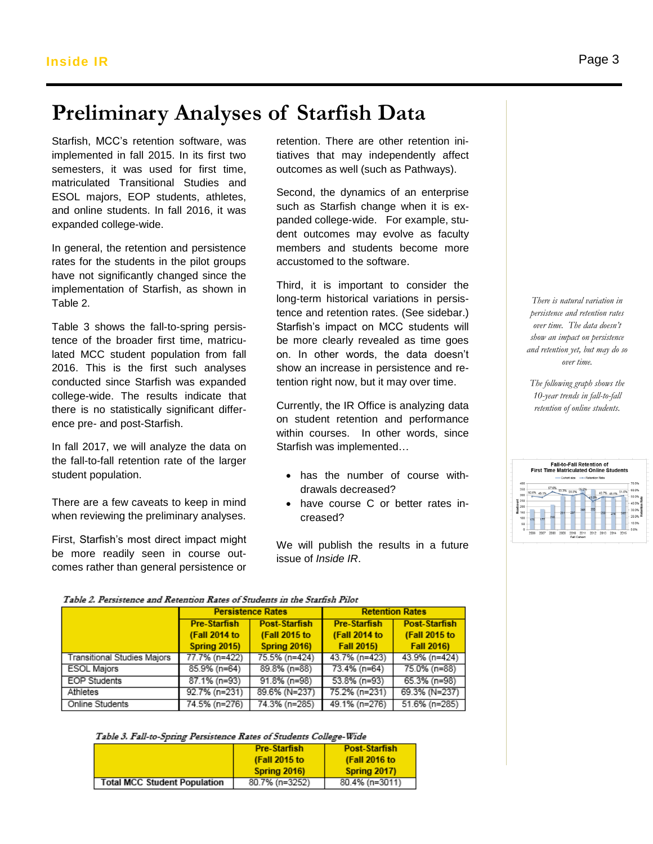# **Preliminary Analyses of Starfish Data**

Starfish, MCC's retention software, was implemented in fall 2015. In its first two miplemented in fair 2015. In its first two that wes that may independently a<br>semesters, it was used for first time, outcomes as well (such as Pathways matriculated Transitional Studies and ESOL majors, EOP students, athletes, and online students. In fall 2016, it was expanded college-wide.

In general, the retention and persistence rates for the students in the pilot groups have not significantly changed since the implementation of Starfish, as shown in Table 2.

Table 3 shows the fall-to-spring persistence of the broader first time, matriculated MCC student population from fall 2016. This is the first such analyses conducted since Starfish was expanded college-wide. The results indicate that there is no statistically significant difference pre- and post-Starfish.

In fall 2017, we will analyze the data on the fall-to-fall retention rate of the larger student population.

There are a few caveats to keep in mind when reviewing the preliminary analyses.

First, Starfish's most direct impact might be more readily seen in course outcomes rather than general persistence or

retention. There are other retention initiatives that may independently affect outcomes as well (such as Pathways).

Second, the dynamics of an enterprise such as Starfish change when it is expanded college-wide. For example, student outcomes may evolve as faculty members and students become more accustomed to the software.

Third, it is important to consider the long-term historical variations in persistence and retention rates. (See sidebar.) Starfish's impact on MCC students will be more clearly revealed as time goes on. In other words, the data doesn't show an increase in persistence and retention right now, but it may over time.

Currently, the IR Office is analyzing data on student retention and performance within courses. In other words, since Starfish was implemented…

- has the number of course withdrawals decreased?
- have course C or better rates increased?

We will publish the results in a future issue of *Inside IR*.

*There is natural variation in persistence and retention rates over time. The data doesn't show an impact on persistence and retention yet, but may do so over time.*

*The following graph shows the 10-year trends in fall-to-fall retention of online students.*

|                                                          |                    |      |              |                    |                    |                            |                          | <b>Fall-to-Fall Retention of</b> |      | <b>First Time Matriculated Online Students</b> |                                                                        |
|----------------------------------------------------------|--------------------|------|--------------|--------------------|--------------------|----------------------------|--------------------------|----------------------------------|------|------------------------------------------------|------------------------------------------------------------------------|
| 400<br>350<br>300<br>250<br>200<br>150<br>100<br>50<br>n | 50.6% 49.19<br>175 | 177  | 57.6%<br>218 | 53.3% 51.9%<br>291 | Cohort size<br>297 | 348                        | -+-Retention Rate<br>350 | 290                              | 276  | 49.7% 49.1% 51.6%<br>285                       | 70.0%<br>$-60.0%$<br>50.0%<br>40.0%<br>30.0%<br>20.09<br>10.0%<br>0.0% |
|                                                          | 2006               | 2007 | 2008         | 2009               | 2010               | 2011<br><b>Fall Cohort</b> | 2012                     | 2013                             | 2014 | 2015                                           |                                                                        |

### Table 2. Persistence and Retention Rates of Students in the Starfish Pilot

|                                    |                     | <b>Persistence Rates</b> | <b>Retention Rates</b> |                      |  |
|------------------------------------|---------------------|--------------------------|------------------------|----------------------|--|
|                                    | <b>Pre-Starfish</b> | <b>Post-Starfish</b>     | <b>Pre-Starfish</b>    | <b>Post-Starfish</b> |  |
|                                    | (Fall 2014 to       | (Fall 2015 to            | (Fall 2014 to          | (Fall 2015 to        |  |
|                                    | <b>Spring 2015)</b> | <b>Spring 2016)</b>      | Fall 2015)             | Fall 2016)           |  |
| <b>Transitional Studies Majors</b> | 77.7% (n=422)       | 75.5% (n=424)            | 43.7% (n=423)          | 43.9% (n=424)        |  |
| <b>ESOL Majors</b>                 | $85.9\%$ (n=64)     | 89.8% (n=88)             | 73.4% (n=64)           | 75.0% (n=88)         |  |
| <b>EOP</b> Students                | 87.1% (n=93)        | 91.8% (n=98)             | $53.8\%$ (n=93)        | 65.3% (n=98)         |  |
| Athletes                           | 92.7% (n=231)       | 89.6% (N=237)            | 75.2% (n=231)          | 69.3% (N=237)        |  |
| Online Students                    | 74.5% (n=276)       | 74.3% (n=285)            | 49.1% (n=276)          | 51.6% (n=285)        |  |

Table 3. Fall-to-Spring Persistence Rates of Students College-Wide

|                                     | <b>Pre-Starfish</b> | <b>Post-Starfish</b> |
|-------------------------------------|---------------------|----------------------|
|                                     | (Fall 2015 to       | (Fall 2016 to        |
|                                     | Spring 2016)        | Spring 2017)         |
| <b>Total MCC Student Population</b> | 80.7% (n=3252)      | 80.4% (n=3011)       |